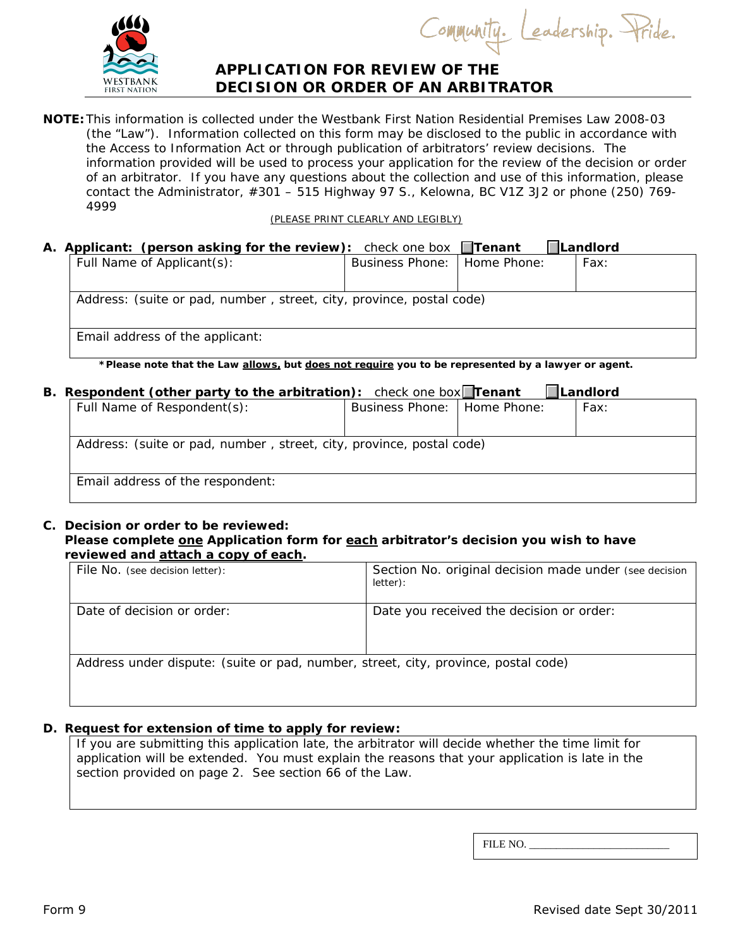

Community. Leadership. Pride.

# **APPLICATION FOR REVIEW OF THE DECISION OR ORDER OF AN ARBITRATOR**

**NOTE:** This information is collected under the *Westbank First Nation Residential Premises Law 2008-03* (the "Law"). Information collected on this form may be disclosed to the public in accordance with the *Access to Information Act* or through publication of arbitrators' review decisions. The information provided will be used to process your application for the review of the decision or order of an arbitrator. If you have any questions about the collection and use of this information, please contact the Administrator, #301 – 515 Highway 97 S., Kelowna, BC V1Z 3J2 or phone (250) 769- 4999

(PLEASE PRINT CLEARLY AND LEGIBLY)

#### **A.** Applicant: (person asking for the review): check one box **Tenant Landlord**<br> **Eul Name of Applicant(s): Laurinos Phone: Home Phone:** LEavy  $\sqrt{P_{\text{H}}P_{\text{H}}P_{\text{H}}P_{\text{H}}P_{\text{H}}P_{\text{H}}P_{\text{H}}P_{\text{H}}P_{\text{H}}P_{\text{H}}P_{\text{H}}P_{\text{H}}P_{\text{H}}P_{\text{H}}P_{\text{H}}P_{\text{H}}P_{\text{H}}P_{\text{H}}P_{\text{H}}P_{\text{H}}P_{\text{H}}P_{\text{H}}P_{\text{H}}P_{\text{H}}P_{\text{H}}P_{\text{H}}P_{\text{H}}P_{\text{H}}P_{\text{H}}P_{\text{H}}P_{\text{H}}$

| Full Natrie Of Applicatit(S):                                                                        | BUSINESS PNONE: I HOME PNONE: |  | rax: |  |
|------------------------------------------------------------------------------------------------------|-------------------------------|--|------|--|
| Address: (suite or pad, number, street, city, province, postal code)                                 |                               |  |      |  |
| Email address of the applicant:                                                                      |                               |  |      |  |
| to be represented by the Law silows, but does not require you to be represented by a lawyer or agent |                               |  |      |  |

epresented by a lawyer or agent.

# **B.** Respondent (other party to the arbitration): check one box **Tenant** Landlord Full Name of Respondent(s): Business Phone: | Home Phone: | Fax: Address: (suite or pad, number , street, city, province, postal code) Email address of the respondent:

## **C. Decision or order to be reviewed:**

#### Please complete one Application form for each arbitrator's decision you wish to have **reviewed and attach a copy of each.**

| File No. (see decision letter):                                                    | Section No. original decision made under (see decision<br>letter): |  |  |
|------------------------------------------------------------------------------------|--------------------------------------------------------------------|--|--|
| Date of decision or order:                                                         | Date you received the decision or order:                           |  |  |
| Address under dispute: (suite or pad, number, street, city, province, postal code) |                                                                    |  |  |

## **D. Request for extension of time to apply for review:**

If you are submitting this application late, the arbitrator will decide whether the time limit for application will be extended. You must explain the reasons that your application is late in the section provided on page 2. See section 66 of the Law.

FILE NO.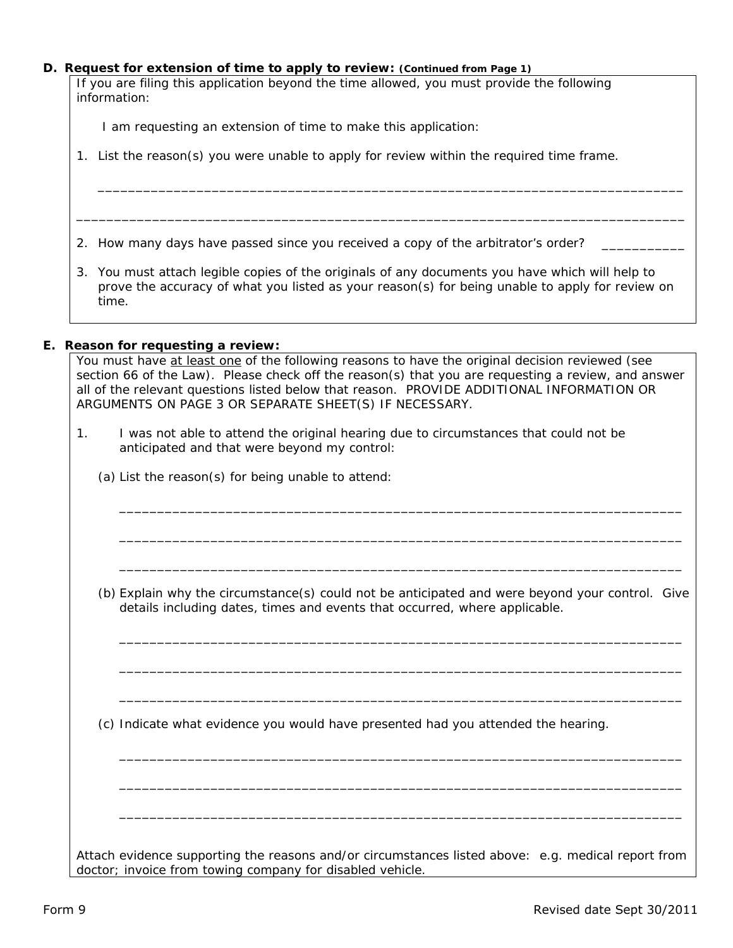#### **D. Request for extension of time to apply to review: (Continued from Page 1)**

*If you are filing this application beyond the time allowed, you must provide the following information:*

I am requesting an extension of time to make this application:

1. List the reason(s) you were unable to apply for review within the required time frame.

2. How many days have passed since you received a copy of the arbitrator's order? \_\_\_\_\_\_\_\_

3. You must attach legible copies of the originals of any documents you have which will help to prove the accuracy of what you listed as your reason(s) for being unable to apply for review on time.

\_\_\_\_\_\_\_\_\_\_\_\_\_\_\_\_\_\_\_\_\_\_\_\_\_\_\_\_\_\_\_\_\_\_\_\_\_\_\_\_\_\_\_\_\_\_\_\_\_\_\_\_\_\_\_\_\_\_\_\_\_\_\_\_\_\_\_\_\_\_\_\_\_\_\_\_\_

\_\_\_\_\_\_\_\_\_\_\_\_\_\_\_\_\_\_\_\_\_\_\_\_\_\_\_\_\_\_\_\_\_\_\_\_\_\_\_\_\_\_\_\_\_\_\_\_\_\_\_\_\_\_\_\_\_\_\_\_\_\_\_\_\_\_\_\_\_\_\_\_\_\_\_\_\_\_\_\_

#### **E. Reason for requesting a review:**

*You must have at least one of the following reasons to have the original decision reviewed (see section 66 of the Law). Please check off the reason(s) that you are requesting a review, and answer all of the relevant questions listed below that reason. PROVIDE ADDITIONAL INFORMATION OR ARGUMENTS ON PAGE 3 OR SEPARATE SHEET(S) IF NECESSARY*.

- 1. I was not able to attend the original hearing due to circumstances that could not be anticipated and that were beyond my control:
	- (a) List the reason(s) for being unable to attend:

(b) Explain why the circumstance(s) could not be anticipated and were beyond your control. Give details including dates, times and events that occurred, where applicable.

\_\_\_\_\_\_\_\_\_\_\_\_\_\_\_\_\_\_\_\_\_\_\_\_\_\_\_\_\_\_\_\_\_\_\_\_\_\_\_\_\_\_\_\_\_\_\_\_\_\_\_\_\_\_\_\_\_\_\_\_\_\_\_\_\_\_\_\_\_\_\_\_\_\_

\_\_\_\_\_\_\_\_\_\_\_\_\_\_\_\_\_\_\_\_\_\_\_\_\_\_\_\_\_\_\_\_\_\_\_\_\_\_\_\_\_\_\_\_\_\_\_\_\_\_\_\_\_\_\_\_\_\_\_\_\_\_\_\_\_\_\_\_\_\_\_\_\_\_

\_\_\_\_\_\_\_\_\_\_\_\_\_\_\_\_\_\_\_\_\_\_\_\_\_\_\_\_\_\_\_\_\_\_\_\_\_\_\_\_\_\_\_\_\_\_\_\_\_\_\_\_\_\_\_\_\_\_\_\_\_\_\_\_\_\_\_\_\_\_\_\_\_\_

\_\_\_\_\_\_\_\_\_\_\_\_\_\_\_\_\_\_\_\_\_\_\_\_\_\_\_\_\_\_\_\_\_\_\_\_\_\_\_\_\_\_\_\_\_\_\_\_\_\_\_\_\_\_\_\_\_\_\_\_\_\_\_\_\_\_\_\_\_\_\_\_\_\_

\_\_\_\_\_\_\_\_\_\_\_\_\_\_\_\_\_\_\_\_\_\_\_\_\_\_\_\_\_\_\_\_\_\_\_\_\_\_\_\_\_\_\_\_\_\_\_\_\_\_\_\_\_\_\_\_\_\_\_\_\_\_\_\_\_\_\_\_\_\_\_\_\_\_

\_\_\_\_\_\_\_\_\_\_\_\_\_\_\_\_\_\_\_\_\_\_\_\_\_\_\_\_\_\_\_\_\_\_\_\_\_\_\_\_\_\_\_\_\_\_\_\_\_\_\_\_\_\_\_\_\_\_\_\_\_\_\_\_\_\_\_\_\_\_\_\_\_\_

\_\_\_\_\_\_\_\_\_\_\_\_\_\_\_\_\_\_\_\_\_\_\_\_\_\_\_\_\_\_\_\_\_\_\_\_\_\_\_\_\_\_\_\_\_\_\_\_\_\_\_\_\_\_\_\_\_\_\_\_\_\_\_\_\_\_\_\_\_\_\_\_\_\_

\_\_\_\_\_\_\_\_\_\_\_\_\_\_\_\_\_\_\_\_\_\_\_\_\_\_\_\_\_\_\_\_\_\_\_\_\_\_\_\_\_\_\_\_\_\_\_\_\_\_\_\_\_\_\_\_\_\_\_\_\_\_\_\_\_\_\_\_\_\_\_\_\_\_

\_\_\_\_\_\_\_\_\_\_\_\_\_\_\_\_\_\_\_\_\_\_\_\_\_\_\_\_\_\_\_\_\_\_\_\_\_\_\_\_\_\_\_\_\_\_\_\_\_\_\_\_\_\_\_\_\_\_\_\_\_\_\_\_\_\_\_\_\_\_\_\_\_\_

(c) Indicate what evidence you would have presented had you attended the hearing.

Attach evidence supporting the reasons and/or circumstances listed above: e.g. medical report from doctor; invoice from towing company for disabled vehicle.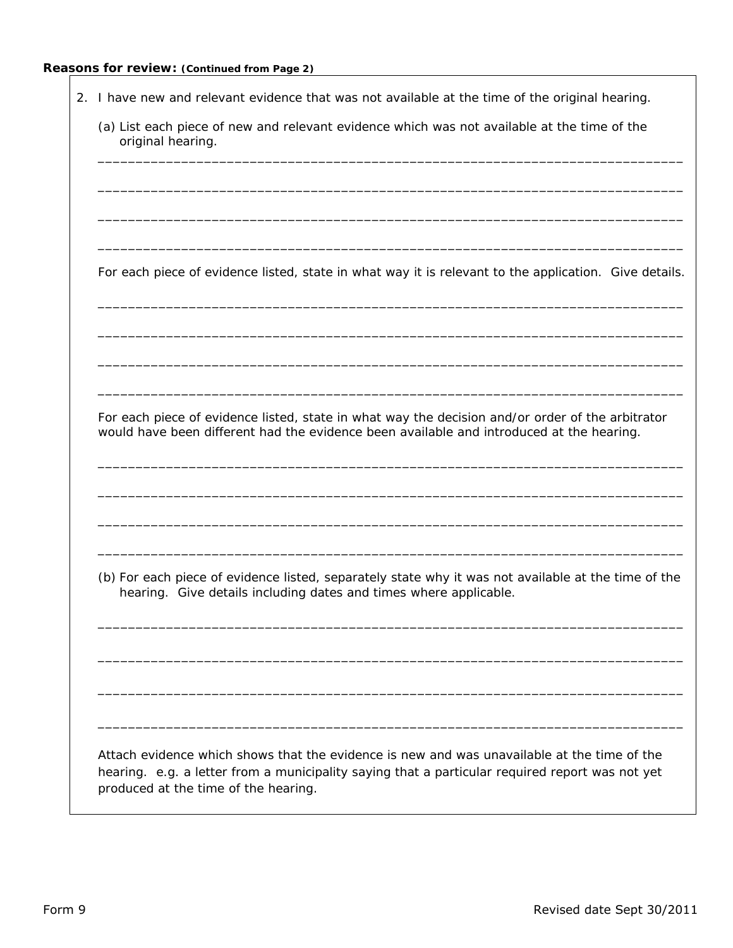# **Reasons for review: (Continued from Page 2)**

| 2. I have new and relevant evidence that was not available at the time of the original hearing.                                                                                                                                        |  |  |  |  |
|----------------------------------------------------------------------------------------------------------------------------------------------------------------------------------------------------------------------------------------|--|--|--|--|
| (a) List each piece of new and relevant evidence which was not available at the time of the<br>original hearing.                                                                                                                       |  |  |  |  |
|                                                                                                                                                                                                                                        |  |  |  |  |
|                                                                                                                                                                                                                                        |  |  |  |  |
| For each piece of evidence listed, state in what way it is relevant to the application. Give details.                                                                                                                                  |  |  |  |  |
|                                                                                                                                                                                                                                        |  |  |  |  |
|                                                                                                                                                                                                                                        |  |  |  |  |
| For each piece of evidence listed, state in what way the decision and/or order of the arbitrator<br>would have been different had the evidence been available and introduced at the hearing.                                           |  |  |  |  |
|                                                                                                                                                                                                                                        |  |  |  |  |
|                                                                                                                                                                                                                                        |  |  |  |  |
| (b) For each piece of evidence listed, separately state why it was not available at the time of the<br>hearing. Give details including dates and times where applicable.                                                               |  |  |  |  |
|                                                                                                                                                                                                                                        |  |  |  |  |
|                                                                                                                                                                                                                                        |  |  |  |  |
|                                                                                                                                                                                                                                        |  |  |  |  |
| Attach evidence which shows that the evidence is new and was unavailable at the time of the<br>hearing. e.g. a letter from a municipality saying that a particular required report was not yet<br>produced at the time of the hearing. |  |  |  |  |

٦